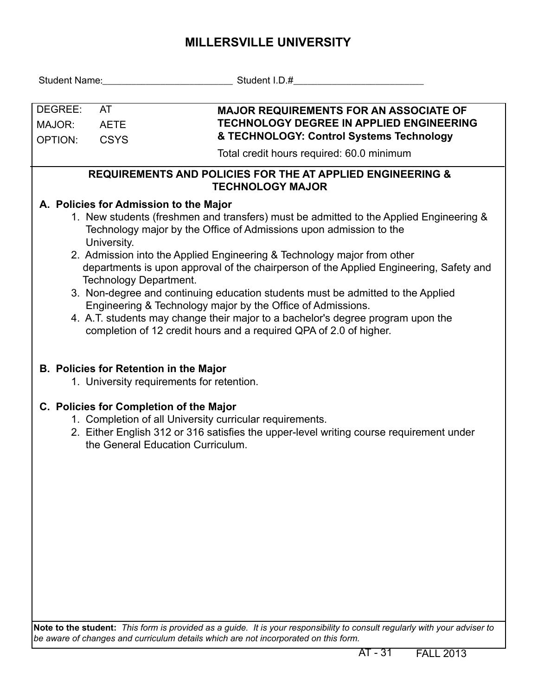## **MILLERSVILLE UNIVERSITY**

| DEGREE:<br>MAJOR:<br>OPTION:                                                                     | <b>AT</b><br><b>AETE</b><br><b>CSYS</b> | <b>MAJOR REQUIREMENTS FOR AN ASSOCIATE OF</b><br><b>TECHNOLOGY DEGREE IN APPLIED ENGINEERING</b><br>& TECHNOLOGY: Control Systems Technology                                                                                                                                                                                                                                                                                                                                                                                                                                                                                                                                                                     |  |  |  |  |  |  |  |  |  |
|--------------------------------------------------------------------------------------------------|-----------------------------------------|------------------------------------------------------------------------------------------------------------------------------------------------------------------------------------------------------------------------------------------------------------------------------------------------------------------------------------------------------------------------------------------------------------------------------------------------------------------------------------------------------------------------------------------------------------------------------------------------------------------------------------------------------------------------------------------------------------------|--|--|--|--|--|--|--|--|--|
|                                                                                                  |                                         | Total credit hours required: 60.0 minimum                                                                                                                                                                                                                                                                                                                                                                                                                                                                                                                                                                                                                                                                        |  |  |  |  |  |  |  |  |  |
| <b>REQUIREMENTS AND POLICIES FOR THE AT APPLIED ENGINEERING &amp;</b><br><b>TECHNOLOGY MAJOR</b> |                                         |                                                                                                                                                                                                                                                                                                                                                                                                                                                                                                                                                                                                                                                                                                                  |  |  |  |  |  |  |  |  |  |
|                                                                                                  | University.                             | A. Policies for Admission to the Major<br>1. New students (freshmen and transfers) must be admitted to the Applied Engineering &<br>Technology major by the Office of Admissions upon admission to the<br>2. Admission into the Applied Engineering & Technology major from other<br>departments is upon approval of the chairperson of the Applied Engineering, Safety and<br>Technology Department.<br>3. Non-degree and continuing education students must be admitted to the Applied<br>Engineering & Technology major by the Office of Admissions.<br>4. A.T. students may change their major to a bachelor's degree program upon the<br>completion of 12 credit hours and a required QPA of 2.0 of higher. |  |  |  |  |  |  |  |  |  |
|                                                                                                  |                                         | <b>B. Policies for Retention in the Major</b><br>1. University requirements for retention.                                                                                                                                                                                                                                                                                                                                                                                                                                                                                                                                                                                                                       |  |  |  |  |  |  |  |  |  |
|                                                                                                  |                                         | C. Policies for Completion of the Major<br>1. Completion of all University curricular requirements.<br>2. Either English 312 or 316 satisfies the upper-level writing course requirement under<br>the General Education Curriculum.                                                                                                                                                                                                                                                                                                                                                                                                                                                                              |  |  |  |  |  |  |  |  |  |

**Note to the student:** *This form is provided as a guide. It is your responsibility to consult regularly with your adviser to be aware of changes and curriculum details which are not incorporated on this form.*